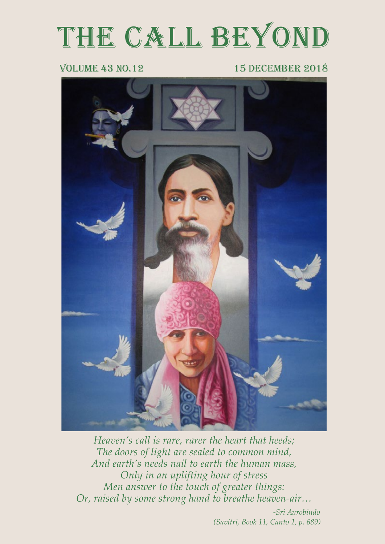# THE CALL BEYOND

#### VOLUME 43 NO.12 15 DECember 2018



*Heaven's call is rare, rarer the heart that heeds; The doors of light are sealed to common mind, And earth's needs nail to earth the human mass, Only in an uplifting hour of stress Men answer to the touch of greater things: Or, raised by some strong hand to breathe heaven-air…* 

> *-Sri Aurobindo (Savitri, Book 11, Canto 1, p. 689)*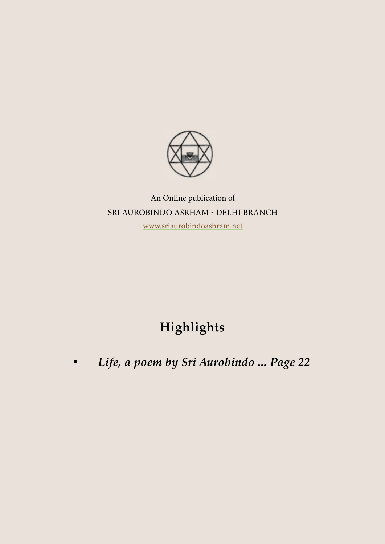

#### An Online publication of SRI AUROBINDO ASRHAM - DELHI BRANCH [www.sriaurobindoashram.net](http://www.sriaurobindoashram.net)

# **Highlights**

*• Life, a poem by Sri Aurobindo ... Page 22*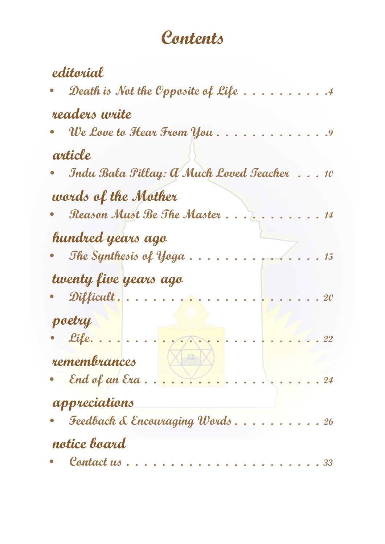# Contents

| editorial                                 |     |
|-------------------------------------------|-----|
| Death is Not the Opposite of Life.        |     |
| readers write                             |     |
| We Love to Hear From You .                |     |
| article                                   |     |
| Indu Bala Pillay: A Much Loved Teacher 10 |     |
| words of the Mother                       |     |
| Reason Must Be The Master                 |     |
| hundred years ago                         |     |
| The Synthesis of Yoga.                    | 15  |
| twenty five years ago                     |     |
| Difficult .                               |     |
| poetry                                    |     |
| Life.                                     |     |
| remembrances                              |     |
| End of an Era.                            | 24  |
| appreciations                             |     |
| Feedback & Encouraging Words26            |     |
| notice board                              |     |
| Contact us .                              | -33 |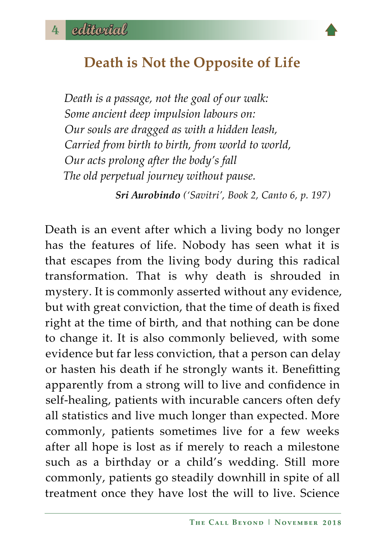

# <span id="page-3-0"></span>**Death is Not the Opposite of Life**

*Death is a passage, not the goal of our walk: Some ancient deep impulsion labours on: Our souls are dragged as with a hidden leash, Carried from birth to birth, from world to world, Our acts prolong after the body's fall The old perpetual journey without pause.*

*Sri Aurobindo ('Savitri', Book 2, Canto 6, p. 197)*

Death is an event after which a living body no longer has the features of life. Nobody has seen what it is that escapes from the living body during this radical transformation. That is why death is shrouded in mystery. It is commonly asserted without any evidence, but with great conviction, that the time of death is fixed right at the time of birth, and that nothing can be done to change it. It is also commonly believed, with some evidence but far less conviction, that a person can delay or hasten his death if he strongly wants it. Benefitting apparently from a strong will to live and confidence in self-healing, patients with incurable cancers often defy all statistics and live much longer than expected. More commonly, patients sometimes live for a few weeks after all hope is lost as if merely to reach a milestone such as a birthday or a child's wedding. Still more commonly, patients go steadily downhill in spite of all treatment once they have lost the will to live. Science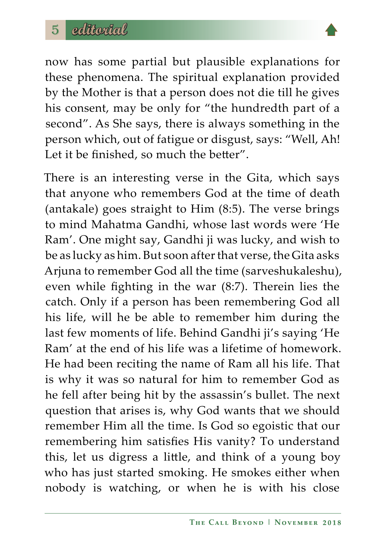

now has some partial but plausible explanations for these phenomena. The spiritual explanation provided by the Mother is that a person does not die till he gives his consent, may be only for "the hundredth part of a second". As She says, there is always something in the person which, out of fatigue or disgust, says: "Well, Ah! Let it be finished, so much the better".

There is an interesting verse in the Gita, which says that anyone who remembers God at the time of death (antakale) goes straight to Him (8:5). The verse brings to mind Mahatma Gandhi, whose last words were 'He Ram'. One might say, Gandhi ji was lucky, and wish to be as lucky as him. But soon after that verse, the Gita asks Arjuna to remember God all the time (sarveshukaleshu), even while fighting in the war (8:7). Therein lies the catch. Only if a person has been remembering God all his life, will he be able to remember him during the last few moments of life. Behind Gandhi ji's saying 'He Ram' at the end of his life was a lifetime of homework. He had been reciting the name of Ram all his life. That is why it was so natural for him to remember God as he fell after being hit by the assassin's bullet. The next question that arises is, why God wants that we should remember Him all the time. Is God so egoistic that our remembering him satisfies His vanity? To understand this, let us digress a little, and think of a young boy who has just started smoking. He smokes either when nobody is watching, or when he is with his close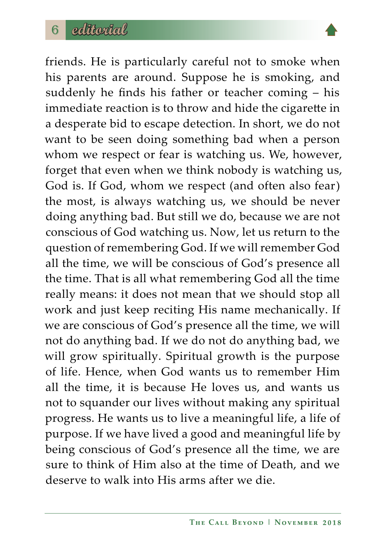

friends. He is particularly careful not to smoke when his parents are around. Suppose he is smoking, and suddenly he finds his father or teacher coming – his immediate reaction is to throw and hide the cigarette in a desperate bid to escape detection. In short, we do not want to be seen doing something bad when a person whom we respect or fear is watching us. We, however, forget that even when we think nobody is watching us, God is. If God, whom we respect (and often also fear) the most, is always watching us, we should be never doing anything bad. But still we do, because we are not conscious of God watching us. Now, let us return to the question of remembering God. If we will remember God all the time, we will be conscious of God's presence all the time. That is all what remembering God all the time really means: it does not mean that we should stop all work and just keep reciting His name mechanically. If we are conscious of God's presence all the time, we will not do anything bad. If we do not do anything bad, we will grow spiritually. Spiritual growth is the purpose of life. Hence, when God wants us to remember Him all the time, it is because He loves us, and wants us not to squander our lives without making any spiritual progress. He wants us to live a meaningful life, a life of purpose. If we have lived a good and meaningful life by being conscious of God's presence all the time, we are sure to think of Him also at the time of Death, and we deserve to walk into His arms after we die.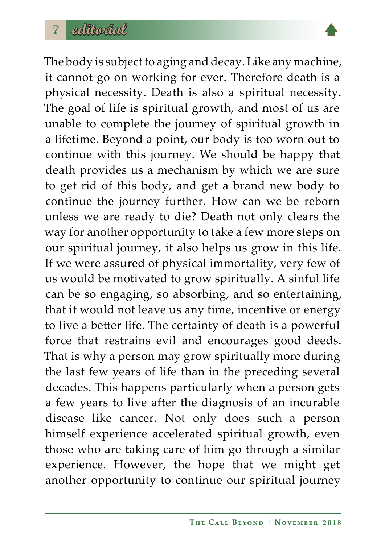

The body is subject to aging and decay. Like any machine, it cannot go on working for ever. Therefore death is a physical necessity. Death is also a spiritual necessity. The goal of life is spiritual growth, and most of us are unable to complete the journey of spiritual growth in a lifetime. Beyond a point, our body is too worn out to continue with this journey. We should be happy that death provides us a mechanism by which we are sure to get rid of this body, and get a brand new body to continue the journey further. How can we be reborn unless we are ready to die? Death not only clears the way for another opportunity to take a few more steps on our spiritual journey, it also helps us grow in this life. If we were assured of physical immortality, very few of us would be motivated to grow spiritually. A sinful life can be so engaging, so absorbing, and so entertaining, that it would not leave us any time, incentive or energy to live a better life. The certainty of death is a powerful force that restrains evil and encourages good deeds. That is why a person may grow spiritually more during the last few years of life than in the preceding several decades. This happens particularly when a person gets a few years to live after the diagnosis of an incurable disease like cancer. Not only does such a person himself experience accelerated spiritual growth, even those who are taking care of him go through a similar experience. However, the hope that we might get another opportunity to continue our spiritual journey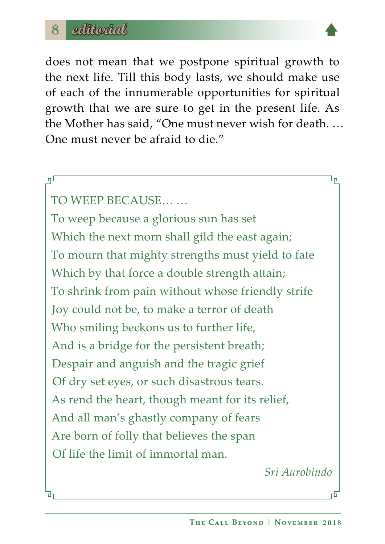

կբ

does not mean that we postpone spiritual growth to the next life. Till this body lasts, we should make use of each of the innumerable opportunities for spiritual growth that we are sure to get in the present life. As the Mother has said, "One must never wish for death. … One must never be afraid to die."

# TO WEEP BECAUSE… …

To weep because a glorious sun has set Which the next morn shall gild the east again; To mourn that mighty strengths must yield to fate Which by that force a double strength attain; To shrink from pain without whose friendly strife Joy could not be, to make a terror of death Who smiling beckons us to further life, And is a bridge for the persistent breath; Despair and anguish and the tragic grief Of dry set eyes, or such disastrous tears. As rend the heart, though meant for its relief, And all man's ghastly company of fears Are born of folly that believes the span Of life the limit of immortal man.

*Sri Aurobindo*

டி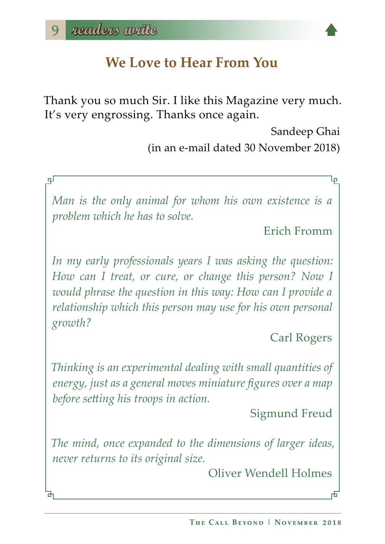டி



<span id="page-8-0"></span>Thank you so much Sir. I like this Magazine very much. It's very engrossing. Thanks once again.

> Sandeep Ghai (in an e-mail dated 30 November 2018)

*Man is the only animal for whom his own existence is a problem which he has to solve.*

Erich Fromm

Ļρ

*In my early professionals years I was asking the question: How can I treat, or cure, or change this person? Now I would phrase the question in this way: How can I provide a relationship which this person may use for his own personal growth?*

Carl Rogers

*Thinking is an experimental dealing with small quantities of energy, just as a general moves miniature figures over a map before setting his troops in action.*

Sigmund Freud

*The mind, once expanded to the dimensions of larger ideas, never returns to its original size.* 

Oliver Wendell Holmes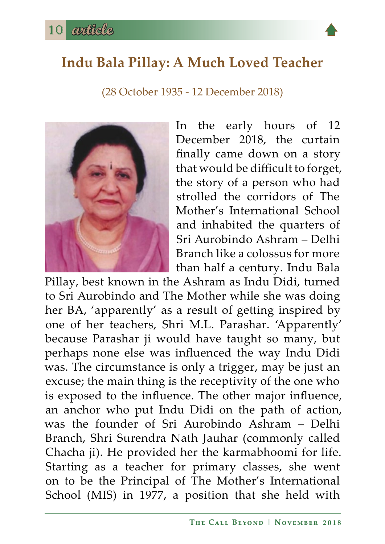

#### (28 October 1935 - 12 December 2018)



<span id="page-9-0"></span>10 **article**

In the early hours of 12 December 2018, the curtain finally came down on a story that would be difficult to forget, the story of a person who had strolled the corridors of The Mother's International School and inhabited the quarters of Sri Aurobindo Ashram – Delhi Branch like a colossus for more than half a century. Indu Bala

Pillay, best known in the Ashram as Indu Didi, turned to Sri Aurobindo and The Mother while she was doing her BA, 'apparently' as a result of getting inspired by one of her teachers, Shri M.L. Parashar. 'Apparently' because Parashar ji would have taught so many, but perhaps none else was influenced the way Indu Didi was. The circumstance is only a trigger, may be just an excuse; the main thing is the receptivity of the one who is exposed to the influence. The other major influence, an anchor who put Indu Didi on the path of action, was the founder of Sri Aurobindo Ashram – Delhi Branch, Shri Surendra Nath Jauhar (commonly called Chacha ji). He provided her the karmabhoomi for life. Starting as a teacher for primary classes, she went on to be the Principal of The Mother's International School (MIS) in 1977, a position that she held with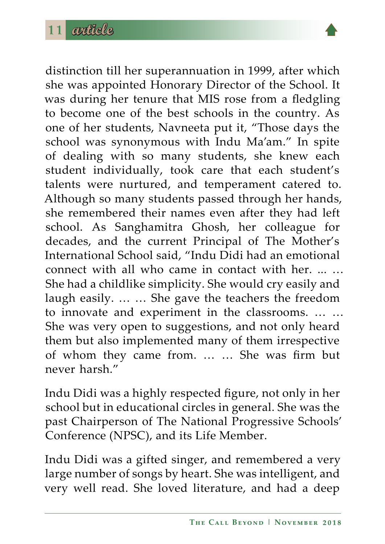

distinction till her superannuation in 1999, after which she was appointed Honorary Director of the School. It was during her tenure that MIS rose from a fledgling to become one of the best schools in the country. As one of her students, Navneeta put it, "Those days the school was synonymous with Indu Ma'am." In spite of dealing with so many students, she knew each student individually, took care that each student's talents were nurtured, and temperament catered to. Although so many students passed through her hands, she remembered their names even after they had left school. As Sanghamitra Ghosh, her colleague for decades, and the current Principal of The Mother's International School said, "Indu Didi had an emotional connect with all who came in contact with her. ... … She had a childlike simplicity. She would cry easily and laugh easily. … … She gave the teachers the freedom to innovate and experiment in the classrooms. … … She was very open to suggestions, and not only heard them but also implemented many of them irrespective of whom they came from. … … She was firm but never harsh."

Indu Didi was a highly respected figure, not only in her school but in educational circles in general. She was the past Chairperson of The National Progressive Schools' Conference (NPSC), and its Life Member.

Indu Didi was a gifted singer, and remembered a very large number of songs by heart. She was intelligent, and very well read. She loved literature, and had a deep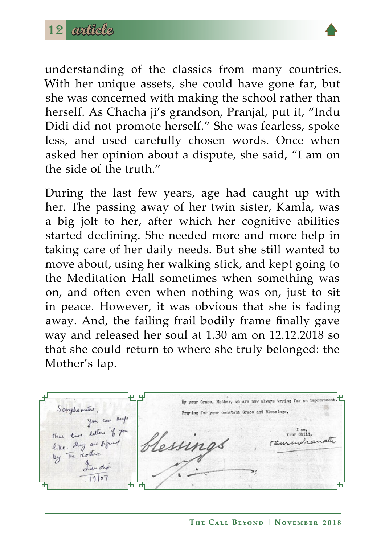

understanding of the classics from many countries. With her unique assets, she could have gone far, but she was concerned with making the school rather than herself. As Chacha ji's grandson, Pranjal, put it, "Indu Didi did not promote herself." She was fearless, spoke less, and used carefully chosen words. Once when asked her opinion about a dispute, she said, "I am on the side of the truth."

During the last few years, age had caught up with her. The passing away of her twin sister, Kamla, was a big jolt to her, after which her cognitive abilities started declining. She needed more and more help in taking care of her daily needs. But she still wanted to move about, using her walking stick, and kept going to the Meditation Hall sometimes when something was on, and often even when nothing was on, just to sit in peace. However, it was obvious that she is fading away. And, the failing frail bodily frame finally gave way and released her soul at 1.30 am on 12.12.2018 so that she could return to where she truly belonged: the Mother's lap.

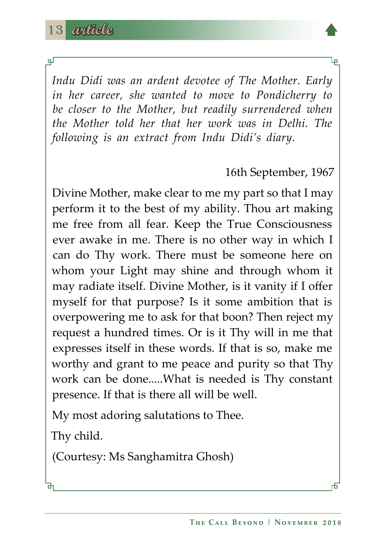்



Lр

*Indu Didi was an ardent devotee of The Mother. Early in her career, she wanted to move to Pondicherry to be closer to the Mother, but readily surrendered when the Mother told her that her work was in Delhi. The following is an extract from Indu Didi's diary.*

#### 16th September, 1967

Divine Mother, make clear to me my part so that I may perform it to the best of my ability. Thou art making me free from all fear. Keep the True Consciousness ever awake in me. There is no other way in which I can do Thy work. There must be someone here on whom your Light may shine and through whom it may radiate itself. Divine Mother, is it vanity if I offer myself for that purpose? Is it some ambition that is overpowering me to ask for that boon? Then reject my request a hundred times. Or is it Thy will in me that expresses itself in these words. If that is so, make me worthy and grant to me peace and purity so that Thy work can be done.....What is needed is Thy constant presence. If that is there all will be well.

My most adoring salutations to Thee.

Thy child.

(Courtesy: Ms Sanghamitra Ghosh)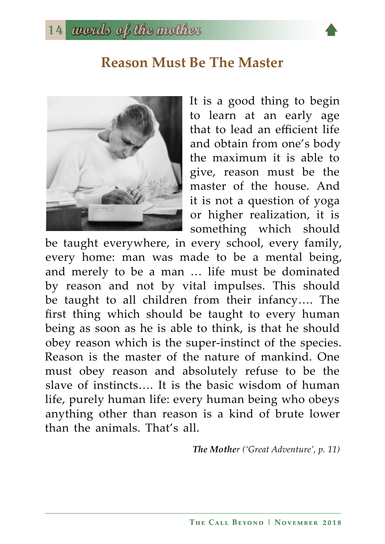

<span id="page-13-0"></span>

It is a good thing to begin to learn at an early age that to lead an efficient life and obtain from one's body the maximum it is able to give, reason must be the master of the house. And it is not a question of yoga or higher realization, it is something which should

be taught everywhere, in every school, every family, every home: man was made to be a mental being, and merely to be a man … life must be dominated by reason and not by vital impulses. This should be taught to all children from their infancy…. The first thing which should be taught to every human being as soon as he is able to think, is that he should obey reason which is the super-instinct of the species. Reason is the master of the nature of mankind. One must obey reason and absolutely refuse to be the slave of instincts…. It is the basic wisdom of human life, purely human life: every human being who obeys anything other than reason is a kind of brute lower than the animals. That's all.

*The Mother ('Great Adventure', p. 11)*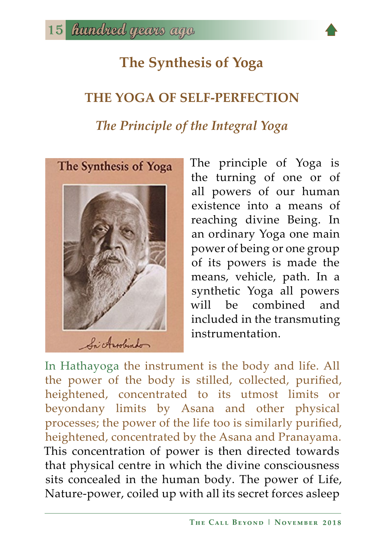

# **The Synthesis of Yoga**

# <span id="page-14-0"></span>**THE YOGA OF SELF-PERFECTION**

*The Principle of the Integral Yoga*

The Synthesis of Yoga



The principle of Yoga is the turning of one or of all powers of our human existence into a means of reaching divine Being. In an ordinary Yoga one main power of being or one group of its powers is made the means, vehicle, path. In a synthetic Yoga all powers will be combined and included in the transmuting instrumentation.

In Hathayoga the instrument is the body and life. All the power of the body is stilled, collected, purified, heightened, concentrated to its utmost limits or beyondany limits by Asana and other physical processes; the power of the life too is similarly purified, heightened, concentrated by the Asana and Pranayama. This concentration of power is then directed towards that physical centre in which the divine consciousness sits concealed in the human body. The power of Life, Nature-power, coiled up with all its secret forces asleep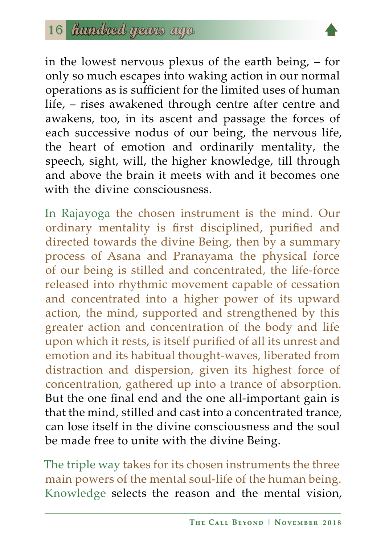# 16 **hundred years ago**



in the lowest nervous plexus of the earth being, – for only so much escapes into waking action in our normal operations as is sufficient for the limited uses of human life, – rises awakened through centre after centre and awakens, too, in its ascent and passage the forces of each successive nodus of our being, the nervous life, the heart of emotion and ordinarily mentality, the speech, sight, will, the higher knowledge, till through and above the brain it meets with and it becomes one with the divine consciousness.

In Rajayoga the chosen instrument is the mind. Our ordinary mentality is first disciplined, purified and directed towards the divine Being, then by a summary process of Asana and Pranayama the physical force of our being is stilled and concentrated, the life-force released into rhythmic movement capable of cessation and concentrated into a higher power of its upward action, the mind, supported and strengthened by this greater action and concentration of the body and life upon which it rests, is itself purified of all its unrest and emotion and its habitual thought-waves, liberated from distraction and dispersion, given its highest force of concentration, gathered up into a trance of absorption. But the one final end and the one all-important gain is that the mind, stilled and cast into a concentrated trance, can lose itself in the divine consciousness and the soul be made free to unite with the divine Being.

The triple way takes for its chosen instruments the three main powers of the mental soul-life of the human being. Knowledge selects the reason and the mental vision,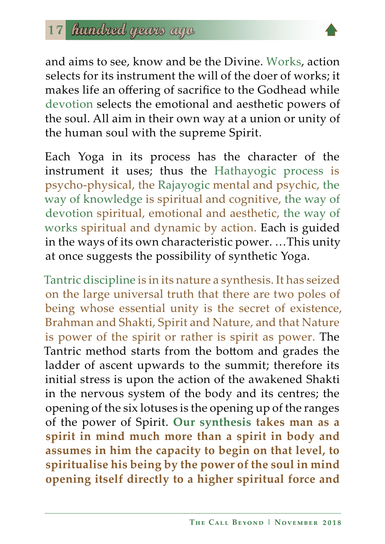

and aims to see, know and be the Divine. Works, action selects for its instrument the will of the doer of works; it makes life an offering of sacrifice to the Godhead while devotion selects the emotional and aesthetic powers of the soul. All aim in their own way at a union or unity of the human soul with the supreme Spirit.

Each Yoga in its process has the character of the instrument it uses; thus the Hathayogic process is psycho-physical, the Rajayogic mental and psychic, the way of knowledge is spiritual and cognitive, the way of devotion spiritual, emotional and aesthetic, the way of works spiritual and dynamic by action. Each is guided in the ways of its own characteristic power. …This unity at once suggests the possibility of synthetic Yoga.

Tantric discipline is in its nature a synthesis. It has seized on the large universal truth that there are two poles of being whose essential unity is the secret of existence, Brahman and Shakti, Spirit and Nature, and that Nature is power of the spirit or rather is spirit as power. The Tantric method starts from the bottom and grades the ladder of ascent upwards to the summit; therefore its initial stress is upon the action of the awakened Shakti in the nervous system of the body and its centres; the opening of the six lotuses is the opening up of the ranges of the power of Spirit. **Our synthesis takes man as a spirit in mind much more than a spirit in body and assumes in him the capacity to begin on that level, to spiritualise his being by the power of the soul in mind opening itself directly to a higher spiritual force and**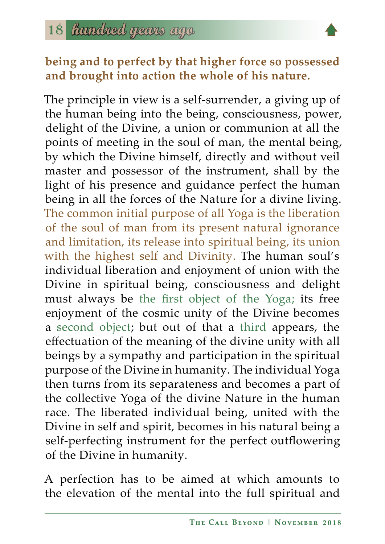

**being and to perfect by that higher force so possessed and brought into action the whole of his nature.**

The principle in view is a self-surrender, a giving up of the human being into the being, consciousness, power, delight of the Divine, a union or communion at all the points of meeting in the soul of man, the mental being, by which the Divine himself, directly and without veil master and possessor of the instrument, shall by the light of his presence and guidance perfect the human being in all the forces of the Nature for a divine living. The common initial purpose of all Yoga is the liberation of the soul of man from its present natural ignorance and limitation, its release into spiritual being, its union with the highest self and Divinity. The human soul's individual liberation and enjoyment of union with the Divine in spiritual being, consciousness and delight must always be the first object of the Yoga; its free enjoyment of the cosmic unity of the Divine becomes a second object; but out of that a third appears, the effectuation of the meaning of the divine unity with all beings by a sympathy and participation in the spiritual purpose of the Divine in humanity. The individual Yoga then turns from its separateness and becomes a part of the collective Yoga of the divine Nature in the human race. The liberated individual being, united with the Divine in self and spirit, becomes in his natural being a self-perfecting instrument for the perfect outflowering of the Divine in humanity.

A perfection has to be aimed at which amounts to the elevation of the mental into the full spiritual and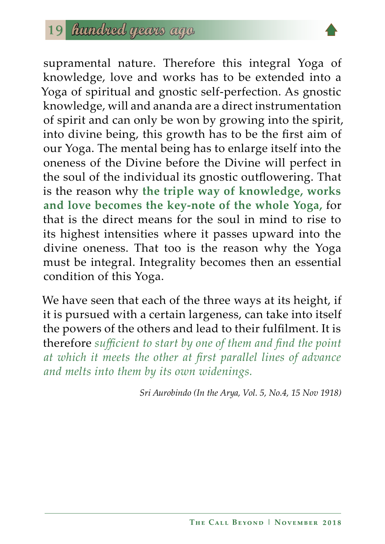# 19 **hundred years ago**



supramental nature. Therefore this integral Yoga of knowledge, love and works has to be extended into a Yoga of spiritual and gnostic self-perfection. As gnostic knowledge, will and ananda are a direct instrumentation of spirit and can only be won by growing into the spirit, into divine being, this growth has to be the first aim of our Yoga. The mental being has to enlarge itself into the oneness of the Divine before the Divine will perfect in the soul of the individual its gnostic outflowering. That is the reason why **the triple way of knowledge, works and love becomes the key-note of the whole Yoga,** for that is the direct means for the soul in mind to rise to its highest intensities where it passes upward into the divine oneness. That too is the reason why the Yoga must be integral. Integrality becomes then an essential condition of this Yoga.

We have seen that each of the three ways at its height, if it is pursued with a certain largeness, can take into itself the powers of the others and lead to their fulfilment. It is therefore *sufficient to start by one of them and find the point at which it meets the other at first parallel lines of advance and melts into them by its own widenings.*

*Sri Aurobindo (In the Arya, Vol. 5, No.4, 15 Nov 1918)*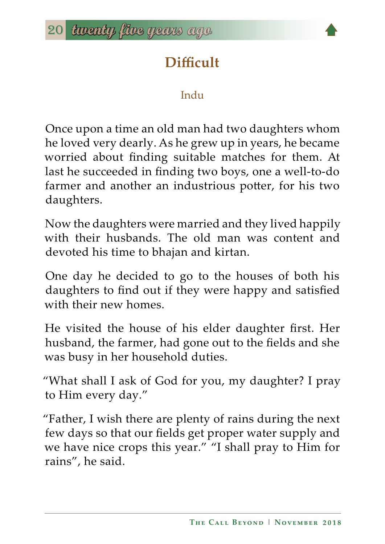

#### Indu

<span id="page-19-0"></span>Once upon a time an old man had two daughters whom he loved very dearly. As he grew up in years, he became worried about finding suitable matches for them. At last he succeeded in finding two boys, one a well-to-do farmer and another an industrious potter, for his two daughters.

Now the daughters were married and they lived happily with their husbands. The old man was content and devoted his time to bhajan and kirtan.

One day he decided to go to the houses of both his daughters to find out if they were happy and satisfied with their new homes.

He visited the house of his elder daughter first. Her husband, the farmer, had gone out to the fields and she was busy in her household duties.

"What shall I ask of God for you, my daughter? I pray to Him every day."

"Father, I wish there are plenty of rains during the next few days so that our fields get proper water supply and we have nice crops this year." "I shall pray to Him for rains", he said.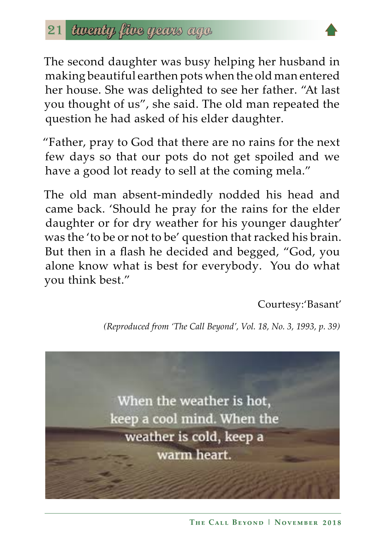# 21 **twenty five years ago**



The second daughter was busy helping her husband in making beautiful earthen pots when the old man entered her house. She was delighted to see her father. "At last you thought of us", she said. The old man repeated the question he had asked of his elder daughter.

"Father, pray to God that there are no rains for the next few days so that our pots do not get spoiled and we have a good lot ready to sell at the coming mela."

The old man absent-mindedly nodded his head and came back. 'Should he pray for the rains for the elder daughter or for dry weather for his younger daughter' was the 'to be or not to be' question that racked his brain. But then in a flash he decided and begged, "God, you alone know what is best for everybody. You do what you think best."

Courtesy:'Basant'

*(Reproduced from 'The Call Beyond', Vol. 18, No. 3, 1993, p. 39)*

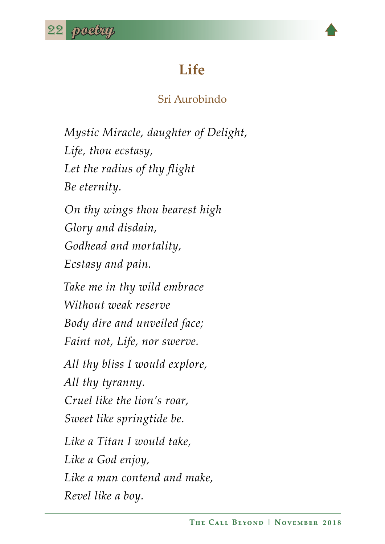<span id="page-21-0"></span>



# **Life**

#### Sri Aurobindo

*Mystic Miracle, daughter of Delight, Life, thou ecstasy, Let the radius of thy flight Be eternity.*

*On thy wings thou bearest high Glory and disdain, Godhead and mortality, Ecstasy and pain.*

*Take me in thy wild embrace Without weak reserve Body dire and unveiled face; Faint not, Life, nor swerve.*

*All thy bliss I would explore, All thy tyranny. Cruel like the lion's roar, Sweet like springtide be.*

*Like a Titan I would take, Like a God enjoy, Like a man contend and make, Revel like a boy.*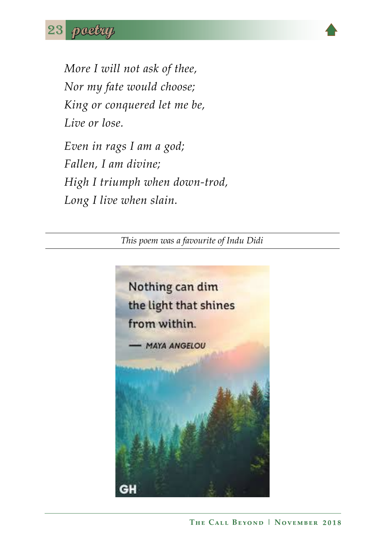



*More I will not ask of thee, Nor my fate would choose; King or conquered let me be, Live or lose.*

*Even in rags I am a god; Fallen, I am divine; High I triumph when down-trod, Long I live when slain.*

*This poem was a favourite of Indu Didi*

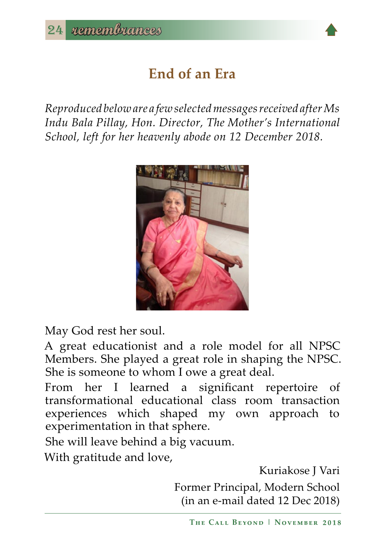

# **End of an Era**

<span id="page-23-0"></span>*Reproduced below are a few selected messages received after Ms Indu Bala Pillay, Hon. Director, The Mother's International School, left for her heavenly abode on 12 December 2018.*



May God rest her soul.

A great educationist and a role model for all NPSC Members. She played a great role in shaping the NPSC. She is someone to whom I owe a great deal.

From her I learned a significant repertoire of transformational educational class room transaction experiences which shaped my own approach to experimentation in that sphere.

She will leave behind a big vacuum.

With gratitude and love,

Kuriakose J Vari

Former Principal, Modern School (in an e-mail dated 12 Dec 2018)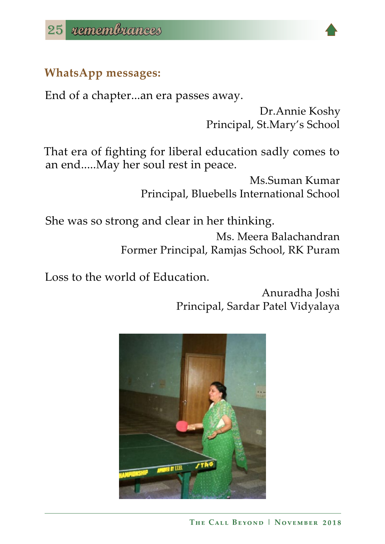

#### **WhatsApp messages:**

End of a chapter...an era passes away.

Dr.Annie Koshy Principal, St.Mary's School

That era of fighting for liberal education sadly comes to an end.....May her soul rest in peace.

> Ms.Suman Kumar Principal, Bluebells International School

She was so strong and clear in her thinking.

Ms. Meera Balachandran Former Principal, Ramjas School, RK Puram

Loss to the world of Education.

Anuradha Joshi Principal, Sardar Patel Vidyalaya

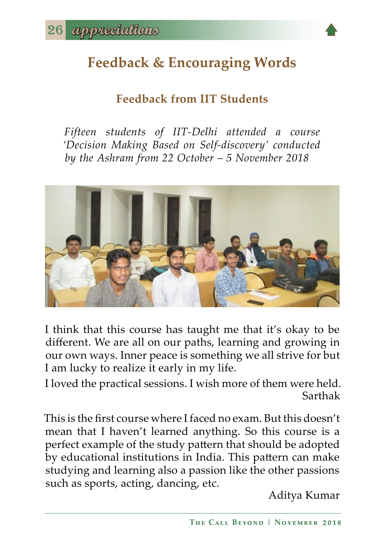

# <span id="page-25-0"></span>**Feedback & Encouraging Words**

### **Feedback from IIT Students**

*Fifteen students of IIT-Delhi attended a course 'Decision Making Based on Self-discovery' conducted by the Ashram from 22 October – 5 November 2018*



I think that this course has taught me that it's okay to be different. We are all on our paths, learning and growing in our own ways. Inner peace is something we all strive for but I am lucky to realize it early in my life.

I loved the practical sessions. I wish more of them were held. Sarthak

This is the first course where I faced no exam. But this doesn't mean that I haven't learned anything. So this course is a perfect example of the study pattern that should be adopted by educational institutions in India. This pattern can make studying and learning also a passion like the other passions such as sports, acting, dancing, etc.

Aditya Kumar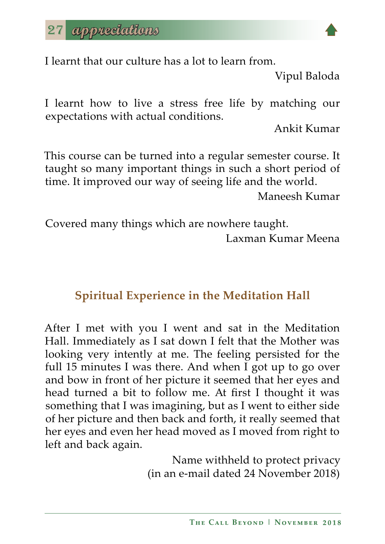

Vipul Baloda

I learnt how to live a stress free life by matching our expectations with actual conditions.

Ankit Kumar

This course can be turned into a regular semester course. It taught so many important things in such a short period of time. It improved our way of seeing life and the world.

Maneesh Kumar

Covered many things which are nowhere taught. Laxman Kumar Meena

# **Spiritual Experience in the Meditation Hall**

After I met with you I went and sat in the Meditation Hall. Immediately as I sat down I felt that the Mother was looking very intently at me. The feeling persisted for the full 15 minutes I was there. And when I got up to go over and bow in front of her picture it seemed that her eyes and head turned a bit to follow me. At first I thought it was something that I was imagining, but as I went to either side of her picture and then back and forth, it really seemed that her eyes and even her head moved as I moved from right to left and back again.

> Name withheld to protect privacy (in an e-mail dated 24 November 2018)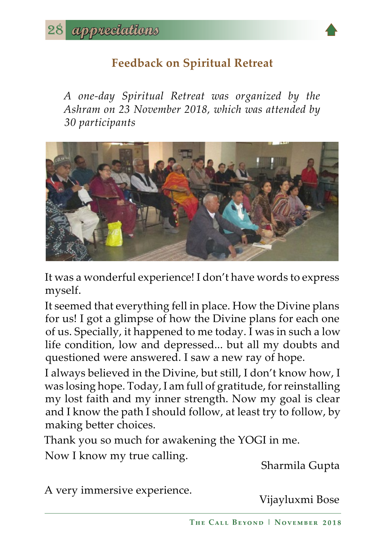

# **Feedback on Spiritual Retreat**

*A one-day Spiritual Retreat was organized by the Ashram on 23 November 2018, which was attended by 30 participants*



It was a wonderful experience! I don't have words to express myself.

It seemed that everything fell in place. How the Divine plans for us! I got a glimpse of how the Divine plans for each one of us. Specially, it happened to me today. I was in such a low life condition, low and depressed... but all my doubts and questioned were answered. I saw a new ray of hope.

I always believed in the Divine, but still, I don't know how, I was losing hope. Today, I am full of gratitude, for reinstalling my lost faith and my inner strength. Now my goal is clear and I know the path I should follow, at least try to follow, by making better choices.

Thank you so much for awakening the YOGI in me.

Now I know my true calling.<br>
Sharmila Gupta

A very immersive experience. Vijayluxmi Bose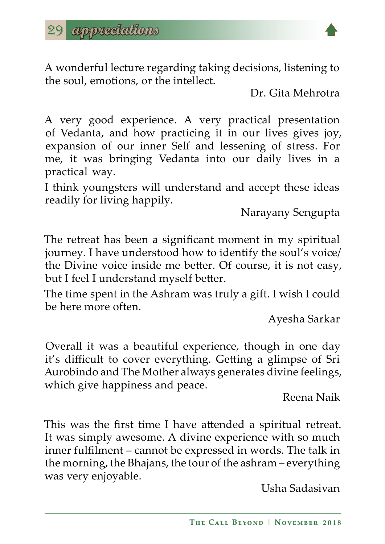

A wonderful lecture regarding taking decisions, listening to the soul, emotions, or the intellect.

Dr. Gita Mehrotra

A very good experience. A very practical presentation of Vedanta, and how practicing it in our lives gives joy, expansion of our inner Self and lessening of stress. For me, it was bringing Vedanta into our daily lives in a practical way.

I think youngsters will understand and accept these ideas readily for living happily.

Narayany Sengupta

The retreat has been a significant moment in my spiritual journey. I have understood how to identify the soul's voice/ the Divine voice inside me better. Of course, it is not easy, but I feel I understand myself better.

The time spent in the Ashram was truly a gift. I wish I could be here more often.

Ayesha Sarkar

Overall it was a beautiful experience, though in one day it's difficult to cover everything. Getting a glimpse of Sri Aurobindo and The Mother always generates divine feelings, which give happiness and peace.

Reena Naik

This was the first time I have attended a spiritual retreat. It was simply awesome. A divine experience with so much inner fulfilment – cannot be expressed in words. The talk in the morning, the Bhajans, the tour of the ashram – everything was very enjoyable.

Usha Sadasivan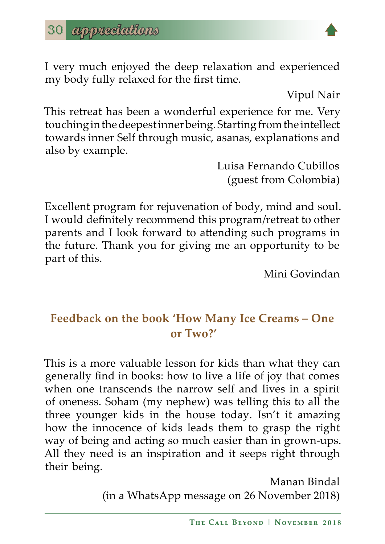

I very much enjoyed the deep relaxation and experienced my body fully relaxed for the first time.

Vipul Nair

This retreat has been a wonderful experience for me. Very touching in the deepest inner being. Starting from the intellect towards inner Self through music, asanas, explanations and also by example.

> Luisa Fernando Cubillos (guest from Colombia)

Excellent program for rejuvenation of body, mind and soul. I would definitely recommend this program/retreat to other parents and I look forward to attending such programs in the future. Thank you for giving me an opportunity to be part of this.

Mini Govindan

# **Feedback on the book 'How Many Ice Creams – One or Two?'**

This is a more valuable lesson for kids than what they can generally find in books: how to live a life of joy that comes when one transcends the narrow self and lives in a spirit of oneness. Soham (my nephew) was telling this to all the three younger kids in the house today. Isn't it amazing how the innocence of kids leads them to grasp the right way of being and acting so much easier than in grown-ups. All they need is an inspiration and it seeps right through their being.

> Manan Bindal (in a WhatsApp message on 26 November 2018)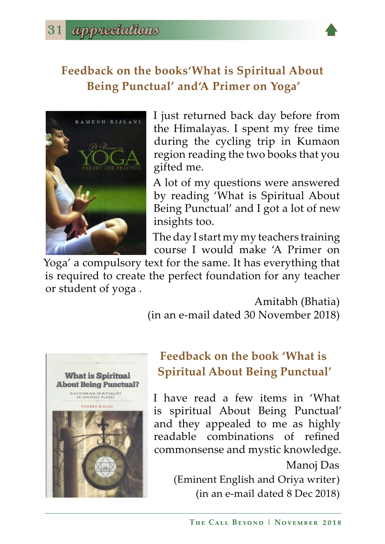

# **Feedback on the books'What is Spiritual About Being Punctual' and'A Primer on Yoga'**



I just returned back day before from the Himalayas. I spent my free time during the cycling trip in Kumaon region reading the two books that you gifted me.

A lot of my questions were answered by reading 'What is Spiritual About Being Punctual' and I got a lot of new insights too.

The day I start my my teachers training course I would make 'A Primer on

Yoga' a compulsory text for the same. It has everything that is required to create the perfect foundation for any teacher or student of yoga .

Amitabh (Bhatia)

(in an e-mail dated 30 November 2018)



# **Feedback on the book 'What is Spiritual About Being Punctual'**

I have read a few items in 'What is spiritual About Being Punctual' and they appealed to me as highly readable combinations of refined commonsense and mystic knowledge. Manoj Das (Eminent English and Oriya writer)

(in an e-mail dated 8 Dec 2018)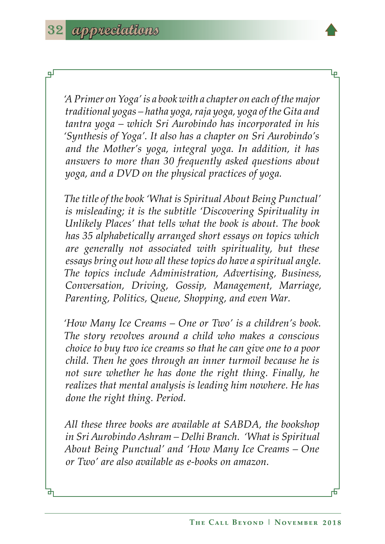டி



Lр

*'A Primer on Yoga' is a book with a chapter on each of the major traditional yogas – hatha yoga, raja yoga, yoga of the Gita and tantra yoga – which Sri Aurobindo has incorporated in his 'Synthesis of Yoga'. It also has a chapter on Sri Aurobindo's and the Mother's yoga, integral yoga. In addition, it has answers to more than 30 frequently asked questions about yoga, and a DVD on the physical practices of yoga.* 

*The title of the book 'What is Spiritual About Being Punctual' is misleading; it is the subtitle 'Discovering Spirituality in Unlikely Places' that tells what the book is about. The book has 35 alphabetically arranged short essays on topics which are generally not associated with spirituality, but these essays bring out how all these topics do have a spiritual angle. The topics include Administration, Advertising, Business, Conversation, Driving, Gossip, Management, Marriage, Parenting, Politics, Queue, Shopping, and even War.* 

*'How Many Ice Creams – One or Two' is a children's book. The story revolves around a child who makes a conscious choice to buy two ice creams so that he can give one to a poor child. Then he goes through an inner turmoil because he is not sure whether he has done the right thing. Finally, he realizes that mental analysis is leading him nowhere. He has done the right thing. Period.*

*All these three books are available at SABDA, the bookshop in Sri Aurobindo Ashram – Delhi Branch. 'What is Spiritual About Being Punctual' and 'How Many Ice Creams – One or Two' are also available as e-books on amazon.*